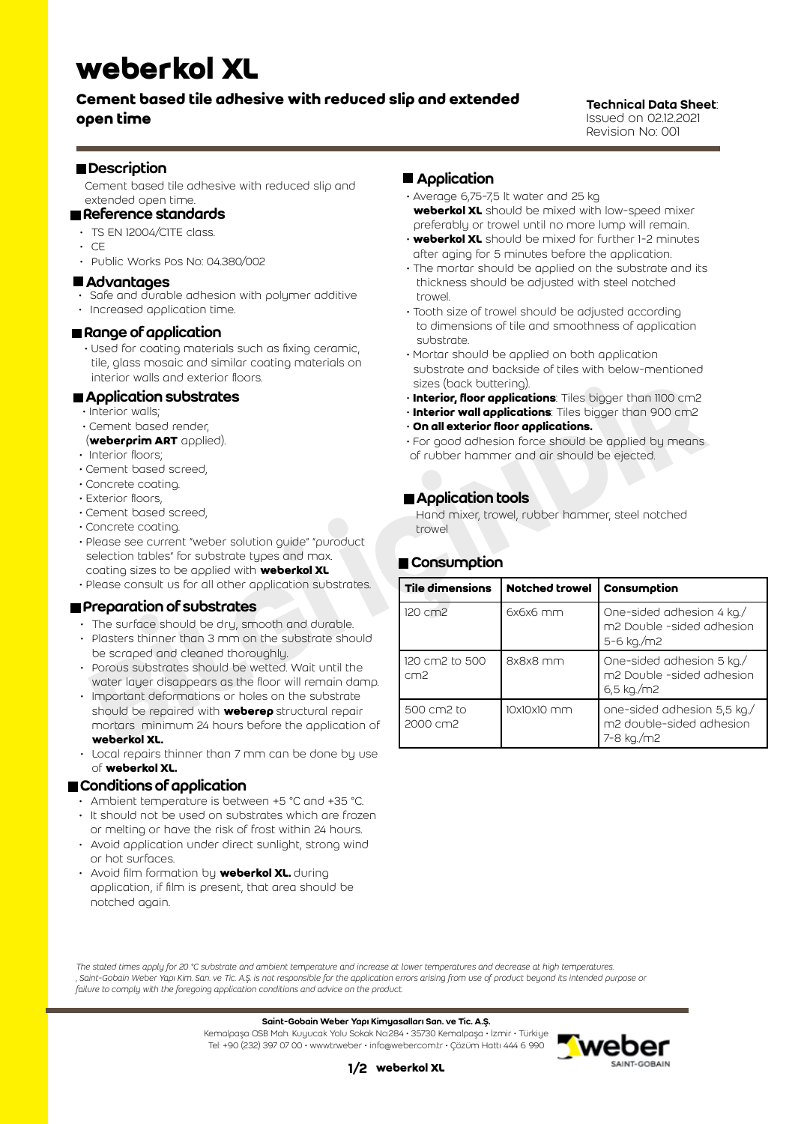# **weberkol XL**

# **Cement based tile adhesive with reduced slip and extended open time**

#### Technical Data Sheet: Issued on 02.12.2021 Revision No: 001

### **Description**

Cement based tile adhesive with reduced slip and extended open time.

## Reference standards

- TS EN 12004/C1TE class.
- $\cdot$  CE
- Public Works Pos No: 04.380/002

#### **Advantages**

- Safe and durable adhesion with polymer additive
- Increased application time.

#### Range of application

 • Used for coating materials such as fixing ceramic, tile, glass mosaic and similar coating materials on interior walls and exterior floors.

#### **Application substrates**

- Interior walls;
- Cement based render,
- (**weberprim ART** applied).
- Interior floors;
- Cement based screed,
- Concrete coating.
- Exterior floors,
- Cement based screed,
- Concrete coating.
- Please see current "weber solution guide" "puroduct selection tables" for substrate types and max. coating sizes to be applied with **weberkol XL**
- Please consult us for all other application substrates.

#### **Preparation of substrates**

- The surface should be dry, smooth and durable.
- Plasters thinner than 3 mm on the substrate should be scraped and cleaned thoroughly.
- Porous substrates should be wetted. Wait until the water layer disappears as the floor will remain damp.
- Important deformations or holes on the substrate should be repaired with **weberep** structural repair mortars minimum 24 hours before the application of **weberkol XL.**
- Local repairs thinner than 7 mm can be done bu use of **weberkol XL.**

## Conditions of application

- Ambient temperature is between +5 °C and +35 °C.
- It should not be used on substrates which are frozen or melting or have the risk of frost within 24 hours.
- Avoid application under direct sunlight, strong wind or hot surfaces.
- Avoid film formation by **weberkol XL.** during application, if film is present, that area should be notched again.

## **Application**

- Average 6,75-7,5 lt water and 25 kg **weberkol XL** should be mixed with low-speed mixer preferably or trowel until no more lump will remain.
- **weberkol XL** should be mixed for further 1-2 minutes after aging for 5 minutes before the application.
- The mortar should be applied on the substrate and its thickness should be adjusted with steel notched trowel.
- Tooth size of trowel should be adjusted according to dimensions of tile and smoothness of application substrate.
- Mortar should be applied on both application substrate and backside of tiles with below-mentioned sizes (back buttering).
- **Interior, floor applications**: Tiles bigger than 1100 cm2
- **Interior wall applications**: Tiles bigger than 900 cm2
- **On all exterior floor applications.**
- For good adhesion force should be applied by means of rubber hammer and air should be ejected.

## **Application tools**

## **■ Consumption**

| THEFTOL WAILS ALTO EXTELLOL HOOLS.<br>Application substrates<br>Interior walls;<br>Cement based render,<br>(weberprim ART applied).<br>Interior floors;<br>Cement based screed,<br>Concrete coating.<br>Exterior floors,<br>Cement based screed,                                                                                           | sizes (back buttering).<br>· Interior, floor applications: Tiles bigger than 1100 cm2<br>. Interior wall applications: Tiles bigger than 900 cm2<br>$\cdot$ On all exterior floor applications.<br>• For good adhesion force should be applied by means<br>of rubber hammer and air should be ejected.<br>Application tools<br>Hand mixer, trowel, rubber hammer, steel notched |             |                                                                       |  |
|--------------------------------------------------------------------------------------------------------------------------------------------------------------------------------------------------------------------------------------------------------------------------------------------------------------------------------------------|---------------------------------------------------------------------------------------------------------------------------------------------------------------------------------------------------------------------------------------------------------------------------------------------------------------------------------------------------------------------------------|-------------|-----------------------------------------------------------------------|--|
| Concrete coating.<br>Please see current "weber solution guide" "puroduct<br>selection tables" for substrate types and max.<br>coating sizes to be applied with <b>weberkol XL</b><br>Please consult us for all other application substrates.                                                                                               | trowel<br>■ Consumption<br>Tile dimensions<br><b>Notched trowel</b><br>Consumption                                                                                                                                                                                                                                                                                              |             |                                                                       |  |
| Preparation of substrates<br>The surface should be dry, smooth and durable.<br>Plasters thinner than 3 mm on the substrate should<br>be scraped and cleaned thoroughly.<br>Porous substrates should be wetted. Wait until the<br>water layer disappears as the floor will remain damp.<br>Important deformations or holes on the substrate | 120 cm2                                                                                                                                                                                                                                                                                                                                                                         | $6x6x6$ mm  | One-sided adhesion 4 kg./<br>m2 Double -sided adhesion<br>5-6 kg./m2  |  |
|                                                                                                                                                                                                                                                                                                                                            | 120 cm2 to 500<br>cm <sub>2</sub>                                                                                                                                                                                                                                                                                                                                               | 8x8x8 mm    | One-sided adhesion 5 kg./<br>m2 Double -sided adhesion<br>6,5 kg./m2  |  |
| should be repaired with <b>weberep</b> structural repair<br>mortars minimum 24 hours before the application of<br>weberkol XL.                                                                                                                                                                                                             | 500 cm2 to<br>2000 cm2                                                                                                                                                                                                                                                                                                                                                          | 10x10x10 mm | one-sided adhesion 5,5 kg./<br>m2 double-sided adhesion<br>7-8 kg./m2 |  |

*The stated times apply for 20 °C substrate and ambient temperature and increase at lower temperatures and decrease at high temperatures. ' Saint-Gobain Weber Yapı Kim. San. ve Tic. A.Ş. is not responsible for the application errors arising from use of product beyond its intended purpose or failure to comply with the foregoing application conditions and advice on the product.*

#### Saint-Gobain Weber Yapı Kimyasalları San. ve Tic. A.Ş.

Kemalpaşa OSB Mah. Kuyucak Yolu Sokak No:284 • 35730 Kemalpaşa • İzmir • Türkiye Tel: +90 (232) 397 07 00 • www.tr.weber • info@weber.com.tr • Çözüm Hattı 444 6 990